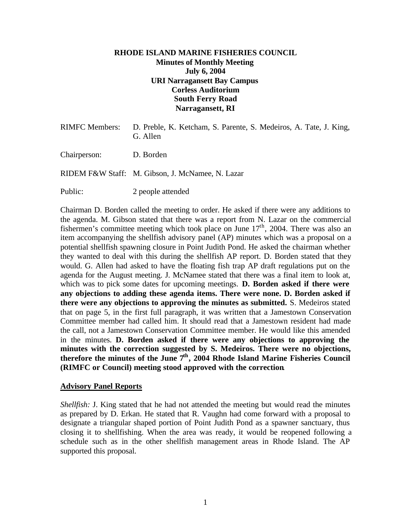# **RHODE ISLAND MARINE FISHERIES COUNCIL Minutes of Monthly Meeting July 6, 2004 URI Narragansett Bay Campus Corless Auditorium South Ferry Road Narragansett, RI**

| RIMFC Members: | D. Preble, K. Ketcham, S. Parente, S. Medeiros, A. Tate, J. King,<br>G. Allen |
|----------------|-------------------------------------------------------------------------------|
| Chairperson:   | D. Borden                                                                     |
|                | RIDEM F&W Staff: M. Gibson, J. McNamee, N. Lazar                              |
| Public:        | 2 people attended                                                             |

Chairman D. Borden called the meeting to order. He asked if there were any additions to the agenda. M. Gibson stated that there was a report from N. Lazar on the commercial fishermen's committee meeting which took place on June  $17<sup>th</sup>$ , 2004. There was also an item accompanying the shellfish advisory panel (AP) minutes which was a proposal on a potential shellfish spawning closure in Point Judith Pond. He asked the chairman whether they wanted to deal with this during the shellfish AP report. D. Borden stated that they would. G. Allen had asked to have the floating fish trap AP draft regulations put on the agenda for the August meeting. J. McNamee stated that there was a final item to look at, which was to pick some dates for upcoming meetings. **D. Borden asked if there were any objections to adding these agenda items. There were none. D. Borden asked if there were any objections to approving the minutes as submitted.** S. Medeiros stated that on page 5, in the first full paragraph, it was written that a Jamestown Conservation Committee member had called him. It should read that a Jamestown resident had made the call, not a Jamestown Conservation Committee member. He would like this amended in the minutes. **D. Borden asked if there were any objections to approving the minutes with the correction suggested by S. Medeiros. There were no objections, therefore the minutes of the June 7th, 2004 Rhode Island Marine Fisheries Council (RIMFC or Council) meeting stood approved with the correction**.

### **Advisory Panel Reports**

*Shellfish:* J. King stated that he had not attended the meeting but would read the minutes as prepared by D. Erkan. He stated that R. Vaughn had come forward with a proposal to designate a triangular shaped portion of Point Judith Pond as a spawner sanctuary, thus closing it to shellfishing. When the area was ready, it would be reopened following a schedule such as in the other shellfish management areas in Rhode Island. The AP supported this proposal.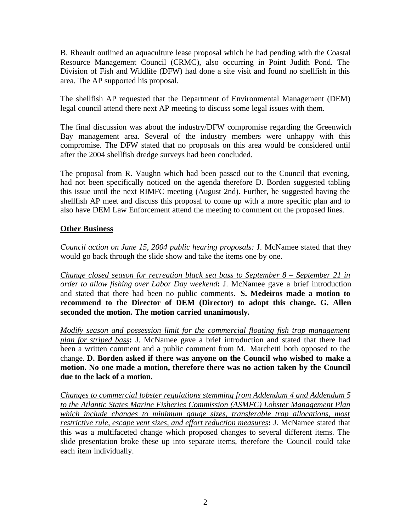B. Rheault outlined an aquaculture lease proposal which he had pending with the Coastal Resource Management Council (CRMC), also occurring in Point Judith Pond. The Division of Fish and Wildlife (DFW) had done a site visit and found no shellfish in this area. The AP supported his proposal.

The shellfish AP requested that the Department of Environmental Management (DEM) legal council attend there next AP meeting to discuss some legal issues with them.

The final discussion was about the industry/DFW compromise regarding the Greenwich Bay management area. Several of the industry members were unhappy with this compromise. The DFW stated that no proposals on this area would be considered until after the 2004 shellfish dredge surveys had been concluded.

The proposal from R. Vaughn which had been passed out to the Council that evening, had not been specifically noticed on the agenda therefore D. Borden suggested tabling this issue until the next RIMFC meeting (August 2nd). Further, he suggested having the shellfish AP meet and discuss this proposal to come up with a more specific plan and to also have DEM Law Enforcement attend the meeting to comment on the proposed lines.

# **Other Business**

*Council action on June 15, 2004 public hearing proposals:* J. McNamee stated that they would go back through the slide show and take the items one by one.

*Change closed season for recreation black sea bass to September 8 – September 21 in order to allow fishing over Labor Day weekend***:** J. McNamee gave a brief introduction and stated that there had been no public comments. **S. Medeiros made a motion to recommend to the Director of DEM (Director) to adopt this change. G. Allen seconded the motion. The motion carried unanimously.**

*Modify season and possession limit for the commercial floating fish trap management plan for striped bass***:** J. McNamee gave a brief introduction and stated that there had been a written comment and a public comment from M. Marchetti both opposed to the change. **D. Borden asked if there was anyone on the Council who wished to make a motion. No one made a motion, therefore there was no action taken by the Council due to the lack of a motion.**

*Changes to commercial lobster regulations stemming from Addendum 4 and Addendum 5 to the Atlantic States Marine Fisheries Commission (ASMFC) Lobster Management Plan which include changes to minimum gauge sizes, transferable trap allocations, most restrictive rule, escape vent sizes, and effort reduction measures***:** J. McNamee stated that this was a multifaceted change which proposed changes to several different items. The slide presentation broke these up into separate items, therefore the Council could take each item individually.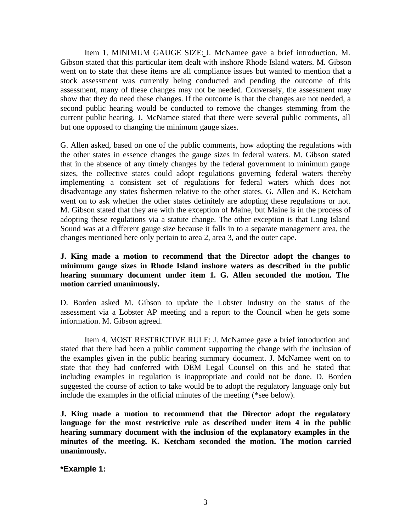Item 1. MINIMUM GAUGE SIZE: J. McNamee gave a brief introduction. M. Gibson stated that this particular item dealt with inshore Rhode Island waters. M. Gibson went on to state that these items are all compliance issues but wanted to mention that a stock assessment was currently being conducted and pending the outcome of this assessment, many of these changes may not be needed. Conversely, the assessment may show that they do need these changes. If the outcome is that the changes are not needed, a second public hearing would be conducted to remove the changes stemming from the current public hearing. J. McNamee stated that there were several public comments, all but one opposed to changing the minimum gauge sizes.

G. Allen asked, based on one of the public comments, how adopting the regulations with the other states in essence changes the gauge sizes in federal waters. M. Gibson stated that in the absence of any timely changes by the federal government to minimum gauge sizes, the collective states could adopt regulations governing federal waters thereby implementing a consistent set of regulations for federal waters which does not disadvantage any states fishermen relative to the other states. G. Allen and K. Ketcham went on to ask whether the other states definitely are adopting these regulations or not. M. Gibson stated that they are with the exception of Maine, but Maine is in the process of adopting these regulations via a statute change. The other exception is that Long Island Sound was at a different gauge size because it falls in to a separate management area, the changes mentioned here only pertain to area 2, area 3, and the outer cape.

# **J. King made a motion to recommend that the Director adopt the changes to minimum gauge sizes in Rhode Island inshore waters as described in the public hearing summary document under item 1. G. Allen seconded the motion. The motion carried unanimously.**

D. Borden asked M. Gibson to update the Lobster Industry on the status of the assessment via a Lobster AP meeting and a report to the Council when he gets some information. M. Gibson agreed.

Item 4. MOST RESTRICTIVE RULE: J. McNamee gave a brief introduction and stated that there had been a public comment supporting the change with the inclusion of the examples given in the public hearing summary document. J. McNamee went on to state that they had conferred with DEM Legal Counsel on this and he stated that including examples in regulation is inappropriate and could not be done. D. Borden suggested the course of action to take would be to adopt the regulatory language only but include the examples in the official minutes of the meeting (\*see below).

**J. King made a motion to recommend that the Director adopt the regulatory language for the most restrictive rule as described under item 4 in the public hearing summary document with the inclusion of the explanatory examples in the minutes of the meeting. K. Ketcham seconded the motion. The motion carried unanimously.**

**\*Example 1:**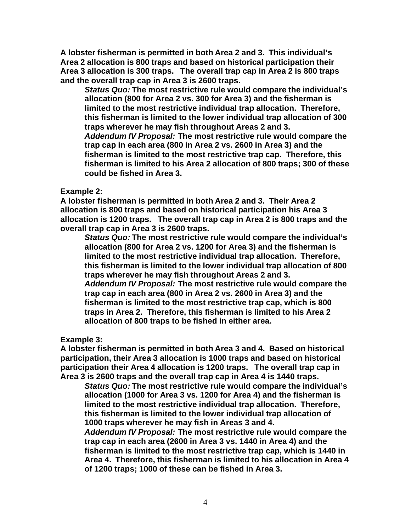**A lobster fisherman is permitted in both Area 2 and 3. This individual's Area 2 allocation is 800 traps and based on historical participation their Area 3 allocation is 300 traps. The overall trap cap in Area 2 is 800 traps and the overall trap cap in Area 3 is 2600 traps.**

*Status Quo:* **The most restrictive rule would compare the individual's allocation (800 for Area 2 vs. 300 for Area 3) and the fisherman is limited to the most restrictive individual trap allocation. Therefore, this fisherman is limited to the lower individual trap allocation of 300 traps wherever he may fish throughout Areas 2 and 3.** *Addendum IV Proposal:* **The most restrictive rule would compare the trap cap in each area (800 in Area 2 vs. 2600 in Area 3) and the fisherman is limited to the most restrictive trap cap. Therefore, this fisherman is limited to his Area 2 allocation of 800 traps; 300 of these could be fished in Area 3.**

# **Example 2:**

**A lobster fisherman is permitted in both Area 2 and 3. Their Area 2 allocation is 800 traps and based on historical participation his Area 3 allocation is 1200 traps. The overall trap cap in Area 2 is 800 traps and the overall trap cap in Area 3 is 2600 traps.**

*Status Quo:* **The most restrictive rule would compare the individual's allocation (800 for Area 2 vs. 1200 for Area 3) and the fisherman is limited to the most restrictive individual trap allocation. Therefore, this fisherman is limited to the lower individual trap allocation of 800 traps wherever he may fish throughout Areas 2 and 3.** *Addendum IV Proposal:* **The most restrictive rule would compare the trap cap in each area (800 in Area 2 vs. 2600 in Area 3) and the fisherman is limited to the most restrictive trap cap, which is 800 traps in Area 2. Therefore, this fisherman is limited to his Area 2 allocation of 800 traps to be fished in either area.**

# **Example 3:**

**A lobster fisherman is permitted in both Area 3 and 4. Based on historical participation, their Area 3 allocation is 1000 traps and based on historical participation their Area 4 allocation is 1200 traps. The overall trap cap in Area 3 is 2600 traps and the overall trap cap in Area 4 is 1440 traps.**

*Status Quo:* **The most restrictive rule would compare the individual's allocation (1000 for Area 3 vs. 1200 for Area 4) and the fisherman is limited to the most restrictive individual trap allocation. Therefore, this fisherman is limited to the lower individual trap allocation of 1000 traps wherever he may fish in Areas 3 and 4.**

*Addendum IV Proposal:* **The most restrictive rule would compare the trap cap in each area (2600 in Area 3 vs. 1440 in Area 4) and the fisherman is limited to the most restrictive trap cap, which is 1440 in Area 4. Therefore, this fisherman is limited to his allocation in Area 4 of 1200 traps; 1000 of these can be fished in Area 3.**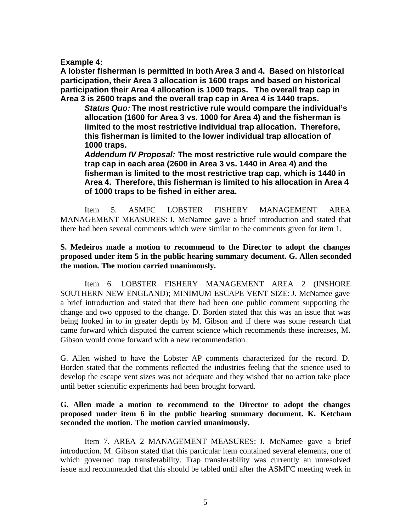**Example 4:**

**A lobster fisherman is permitted in both Area 3 and 4. Based on historical participation, their Area 3 allocation is 1600 traps and based on historical participation their Area 4 allocation is 1000 traps. The overall trap cap in Area 3 is 2600 traps and the overall trap cap in Area 4 is 1440 traps.**

*Status Quo:* **The most restrictive rule would compare the individual's allocation (1600 for Area 3 vs. 1000 for Area 4) and the fisherman is limited to the most restrictive individual trap allocation. Therefore, this fisherman is limited to the lower individual trap allocation of 1000 traps.**

*Addendum IV Proposal:* **The most restrictive rule would compare the trap cap in each area (2600 in Area 3 vs. 1440 in Area 4) and the fisherman is limited to the most restrictive trap cap, which is 1440 in Area 4. Therefore, this fisherman is limited to his allocation in Area 4 of 1000 traps to be fished in either area.**

Item 5. ASMFC LOBSTER FISHERY MANAGEMENT AREA MANAGEMENT MEASURES: J. McNamee gave a brief introduction and stated that there had been several comments which were similar to the comments given for item 1.

### **S. Medeiros made a motion to recommend to the Director to adopt the changes proposed under item 5 in the public hearing summary document. G. Allen seconded the motion. The motion carried unanimously.**

Item 6. LOBSTER FISHERY MANAGEMENT AREA 2 (INSHORE SOUTHERN NEW ENGLAND); MINIMUM ESCAPE VENT SIZE:J. McNamee gave a brief introduction and stated that there had been one public comment supporting the change and two opposed to the change. D. Borden stated that this was an issue that was being looked in to in greater depth by M. Gibson and if there was some research that came forward which disputed the current science which recommends these increases, M. Gibson would come forward with a new recommendation.

G. Allen wished to have the Lobster AP comments characterized for the record. D. Borden stated that the comments reflected the industries feeling that the science used to develop the escape vent sizes was not adequate and they wished that no action take place until better scientific experiments had been brought forward.

### **G. Allen made a motion to recommend to the Director to adopt the changes proposed under item 6 in the public hearing summary document. K. Ketcham seconded the motion. The motion carried unanimously.**

Item 7. AREA 2 MANAGEMENT MEASURES: J. McNamee gave a brief introduction. M. Gibson stated that this particular item contained several elements, one of which governed trap transferability. Trap transferability was currently an unresolved issue and recommended that this should be tabled until after the ASMFC meeting week in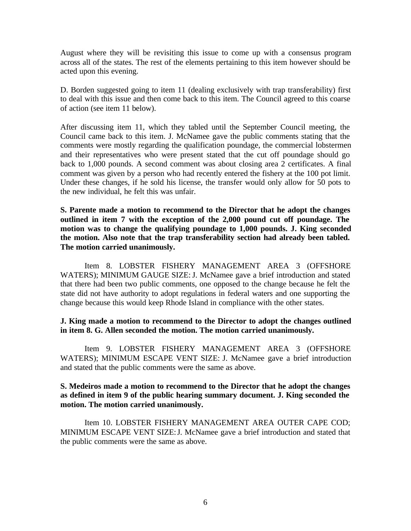August where they will be revisiting this issue to come up with a consensus program across all of the states. The rest of the elements pertaining to this item however should be acted upon this evening.

D. Borden suggested going to item 11 (dealing exclusively with trap transferability) first to deal with this issue and then come back to this item. The Council agreed to this coarse of action (see item 11 below).

After discussing item 11, which they tabled until the September Council meeting, the Council came back to this item. J. McNamee gave the public comments stating that the comments were mostly regarding the qualification poundage, the commercial lobstermen and their representatives who were present stated that the cut off poundage should go back to 1,000 pounds. A second comment was about closing area 2 certificates. A final comment was given by a person who had recently entered the fishery at the 100 pot limit. Under these changes, if he sold his license, the transfer would only allow for 50 pots to the new individual, he felt this was unfair.

**S. Parente made a motion to recommend to the Director that he adopt the changes outlined in item 7 with the exception of the 2,000 pound cut off poundage. The motion was to change the qualifying poundage to 1,000 pounds. J. King seconded the motion. Also note that the trap transferability section had already been tabled. The motion carried unanimously.**

Item 8. LOBSTER FISHERY MANAGEMENT AREA 3 (OFFSHORE WATERS); MINIMUM GAUGE SIZE: J. McNamee gave a brief introduction and stated that there had been two public comments, one opposed to the change because he felt the state did not have authority to adopt regulations in federal waters and one supporting the change because this would keep Rhode Island in compliance with the other states.

### **J. King made a motion to recommend to the Director to adopt the changes outlined in item 8. G. Allen seconded the motion. The motion carried unanimously.**

Item 9. LOBSTER FISHERY MANAGEMENT AREA 3 (OFFSHORE WATERS); MINIMUM ESCAPE VENT SIZE: J. McNamee gave a brief introduction and stated that the public comments were the same as above.

### **S. Medeiros made a motion to recommend to the Director that he adopt the changes as defined in item 9 of the public hearing summary document. J. King seconded the motion. The motion carried unanimously.**

Item 10. LOBSTER FISHERY MANAGEMENT AREA OUTER CAPE COD; MINIMUM ESCAPE VENT SIZE:J. McNamee gave a brief introduction and stated that the public comments were the same as above.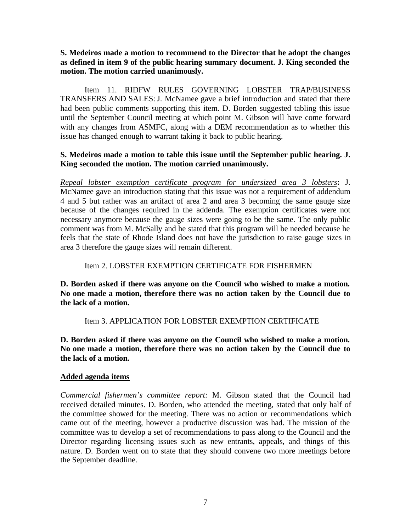# **S. Medeiros made a motion to recommend to the Director that he adopt the changes as defined in item 9 of the public hearing summary document. J. King seconded the motion. The motion carried unanimously.**

Item 11. RIDFW RULES GOVERNING LOBSTER TRAP/BUSINESS TRANSFERS AND SALES:J. McNamee gave a brief introduction and stated that there had been public comments supporting this item. D. Borden suggested tabling this issue until the September Council meeting at which point M. Gibson will have come forward with any changes from ASMFC, along with a DEM recommendation as to whether this issue has changed enough to warrant taking it back to public hearing.

# **S. Medeiros made a motion to table this issue until the September public hearing. J. King seconded the motion. The motion carried unanimously.**

*Repeal lobster exemption certificate program for undersized area 3 lobsters***:** J. McNamee gave an introduction stating that this issue was not a requirement of addendum 4 and 5 but rather was an artifact of area 2 and area 3 becoming the same gauge size because of the changes required in the addenda. The exemption certificates were not necessary anymore because the gauge sizes were going to be the same. The only public comment was from M. McSally and he stated that this program will be needed because he feels that the state of Rhode Island does not have the jurisdiction to raise gauge sizes in area 3 therefore the gauge sizes will remain different.

### Item 2. LOBSTER EXEMPTION CERTIFICATE FOR FISHERMEN

**D. Borden asked if there was anyone on the Council who wished to make a motion. No one made a motion, therefore there was no action taken by the Council due to the lack of a motion.**

### Item 3. APPLICATION FOR LOBSTER EXEMPTION CERTIFICATE

**D. Borden asked if there was anyone on the Council who wished to make a motion. No one made a motion, therefore there was no action taken by the Council due to the lack of a motion.**

#### **Added agenda items**

*Commercial fishermen's committee report:* M. Gibson stated that the Council had received detailed minutes. D. Borden, who attended the meeting, stated that only half of the committee showed for the meeting. There was no action or recommendations which came out of the meeting, however a productive discussion was had. The mission of the committee was to develop a set of recommendations to pass along to the Council and the Director regarding licensing issues such as new entrants, appeals, and things of this nature. D. Borden went on to state that they should convene two more meetings before the September deadline.